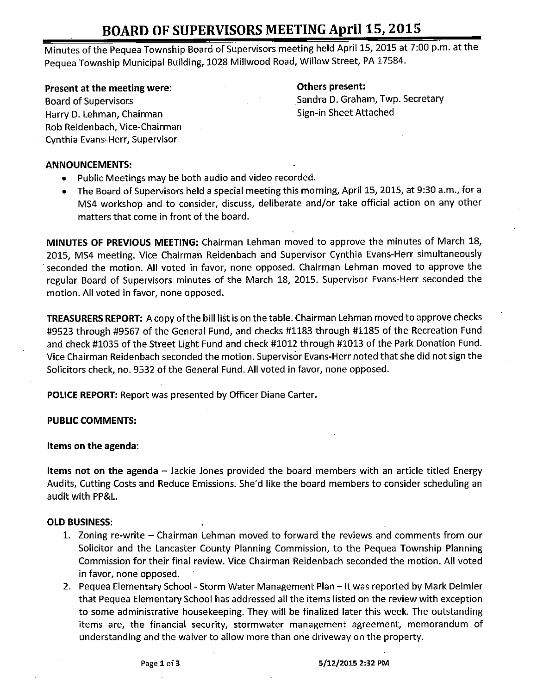# BOARD OF SUPERVISORS MEETING April 15, 2015

Minutes of the Pequea Township Board of Supervisors meeting held April 15, 2015 at 7:00 p.m. at the Pequea Township Municipal Building, 1028 Millwood Road, Willow Street, PA 17584.

### Present at the meeting were: The method of the Communist Communist Communist Communist Communist Communist Communist Communist Communist Communist Communist Communist Communist Communist Communist Communist Communist Commu

Harry D. Lehman, Chairman Sign- in Sheet Attached Rob Reidenbach, Vice-Chairman Cynthia Evans- Herr, Supervisor

Board of Supervisors Sandra D. Graham, Twp. Secretary

#### ANNOUNCEMENTS:

- Public Meetings may be both audio and video recorded.
- The Board of Supervisors held a special meeting this morning, April 15, 2015, at 9:30 a.m., for a  $\bullet$ MS4 workshop and to consider, discuss, deliberate and/or take official action on any other matters that come in front of the board.

MINUTES OF PREVIOUS MEETING: Chairman Lehman moved to approve the minutes of March 18, 2015, MS4 meeting. Vice Chairman Reidenbach and Supervisor Cynthia Evans-Herr simultaneously seconded the motion. All voted in favor, none opposed. Chairman Lehman moved to approve the regular Board of Supervisors minutes of the March 18, 2015. Supervisor Evans-Herr seconded the motion. All voted in favor, none opposed.

TREASURERS REPORT: A copy of the bill list is on the table. Chairman Lehman moved to approve checks #9523 through #9567 of the General Fund, and checks #1183 through #1185 of the Recreation Fund and check # 1035 of the Street Light Fund and check # 1012 through # 1013 of the Park Donation Fund. Vice Chairman Reidenbach seconded the motion. Supervisor Evans-Herr noted that she did not sign the Solicitors check, no. 9532 of the General Fund. All voted in favor, none opposed.

POLICE REPORT: Report was presented by Officer Diane Carter.

#### PUBLIC COMMENTS:

#### Items on the agenda:

Items not on the agenda – Jackie Jones provided the board members with an article titled Energy Audits, Cutting Costs and Reduce Emissions. She'd like the board members to consider scheduling an audit with PP&L.

#### OLD BUSINESS:

- 1. Zoning re-write Chairman Lehman moved to forward the reviews and comments from our Solicitor and the Lancaster County Planning Commission, to the Pequea Township Planning Commission for their final review. Vice Chairman Reidenbach seconded the motion. All voted in favor, none opposed.
- 2. Pequea Elementary School- Storm Water Management Plan— It was reported by Mark Deimler that Pequea Elementary School has addressed all the items listed on the review with exception to some administrative housekeeping. They will be finalized later this week. The outstanding items are, the financial security, stormwater management agreement, memorandum of understanding and the waiver to allow more than one driveway on the property.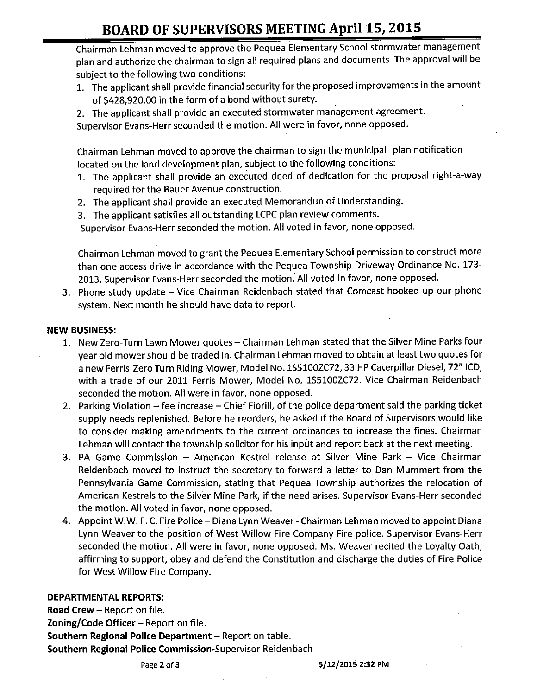# BOARD OF SUPERVISORS MEETING April 15, 2015

Chairman Lehman moved to approve the Pequea Elementary School stormwater management plan and authorize the chairman to sign all required plans and documents. The approval will be subject to the following two conditions:

- 1. The applicant shall provide financial security for the proposed improvements in the amount of \$428,920.00 in the form of a bond without surety.
- 2. The applicant shall provide an executed stormwater management agreement.

Supervisor Evans-Herr seconded the motion. All were in favor, none opposed.

Chairman Lehman moved to approve the chairman to sign the municipal plan notification located on the land development plan, subject to the following conditions:

- 1. The applicant shall provide an executed deed of dedication for the proposal right-a-way required for the Bauer Avenue construction.
- 2. The applicant shall provide an executed Memorandun of Understanding.
- 3. The applicant satisfies all outstanding LCPC plan review comments.

Supervisor Evans-Herr seconded the motion. All voted in favor, none opposed.

Chairman Lehman moved to grant the Pequea Elementary School permission to construct more than one access drive in accordance with the Pequea Township Driveway Ordinance No. 173- 2013. Supervisor Evans-Herr seconded the motion. All voted in favor, none opposed.

3. Phone study update — Vice Chairman Reidenbach stated that Comcast hooked up our phone system. Next month he should have data to report.

#### NEW BUSINESS:

- 1. New Zero-Turn Lawn Mower quotes— Chairman Lehman stated that the Silver Mine Parks four year old mower should be traded in. Chairman Lehman moved to obtain at least two quotes for <sup>a</sup> new Ferris Zero Turn Riding Mower, Model No. 1S5100ZC72, 33 HP Caterpillar Diesel, 72" ICD, with <sup>a</sup> trade of our 2011 Ferris Mower, Model No. 155100ZC72. Vice Chairman Reidenbach seconded the motion. All were in favor, none opposed.
- 2. Parking Violation—fee increase —Chief Fiorill, of the police department said the parking ticket supply needs replenished. Before he reorders, he asked if the Board of Supervisors would like to consider making amendments to the current ordinances to increase the fines. Chairman Lehman will contact the township solicitor for his input and report back at the next meeting.
- 3. PA Game Commission American Kestrel release at Silver Mine Park Vice Chairman Reidenbach moved to instruct the secretary to forward <sup>a</sup> letter to Dan Mummert from the Pennsylvania Game Commission, stating that Pequea Township authorizes the relocation of American Kestrels to the Silver Mine Park, if the need arises. Supervisor Evans-Herr seconded the motion. All voted in favor, none opposed.
- 4. Appoint W.W. F. C. Fire Police— Diana Lynn Weaver- Chairman Lehman moved to appoint Diana Lynn Weaver to the position of West Willow Fire Company Fire police. Supervisor Evans-Herr seconded the motion. All were in favor, none opposed. Ms. Weaver recited the Loyalty Oath, affirming to support, obey and defend the Constitution and discharge the duties of Fire Police for West Willow Fire Company.

#### DEPARTMENTAL REPORTS:

Road Crew— Report on file. Zoning/ Code Officer  $-$  Report on file. Southern Regional Police Department—Report on table. Southern Regional Police Commission-Supervisor Reidenbach